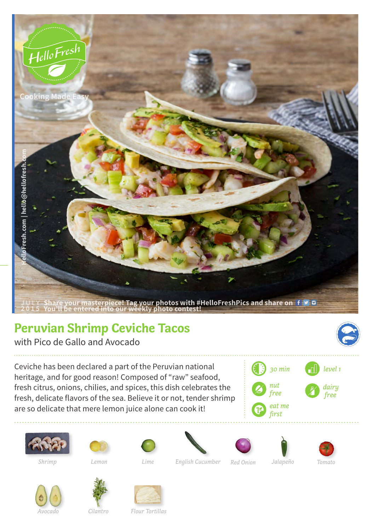

## **Peruvian Shrimp Ceviche Tacos**

with Pico de Gallo and Avocado

Ceviche has been declared a part of the Peruvian national heritage, and for good reason! Composed of "raw" seafood, fresh citrus, onions, chilies, and spices, this dish celebrates the fresh, delicate flavors of the sea. Believe it or not, tender shrimp are so delicate that mere lemon juice alone can cook it!















*Avocado*





*Cilantro Flour Tortillas*

*Lemon English Cucumber Red Onion Shrimp Lime Jalapeño Tomato*